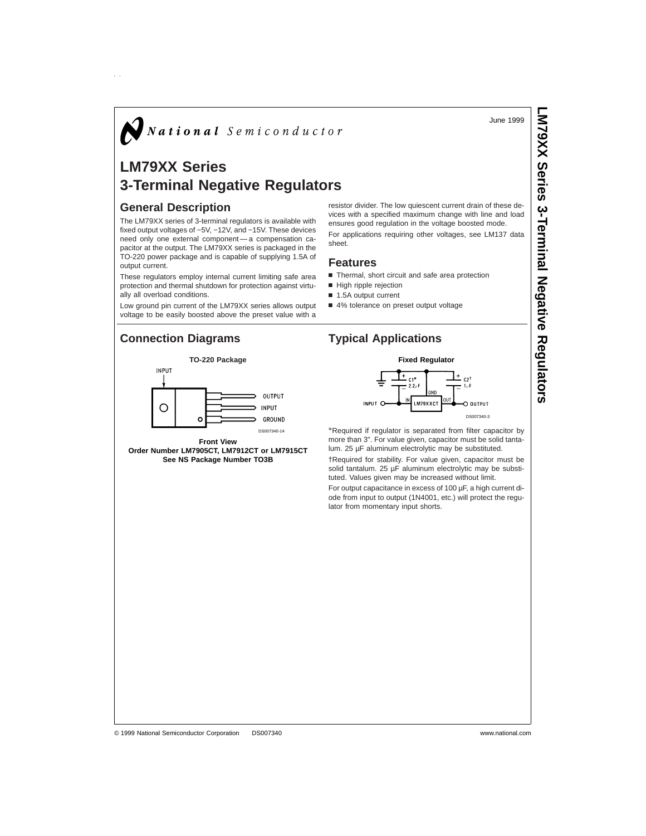June 1999

**LM79XX Series** 

**3-Terminal**

 **Negative** 

**Regulators**

# $\bigvee$  National Semiconductor

## **LM79XX Series 3-Terminal Negative Regulators**

#### **General Description**

The LM79XX series of 3-terminal regulators is available with fixed output voltages of −5V, −12V, and −15V. These devices need only one external component — a compensation capacitor at the output. The LM79XX series is packaged in the TO-220 power package and is capable of supplying 1.5A of output current.

These regulators employ internal current limiting safe area protection and thermal shutdown for protection against virtually all overload conditions.

Low ground pin current of the LM79XX series allows output voltage to be easily boosted above the preset value with a

## **Connection Diagrams Typical Applications**



**Front View Order Number LM7905CT, LM7912CT or LM7915CT See NS Package Number TO3B**

resistor divider. The low quiescent current drain of these devices with a specified maximum change with line and load ensures good regulation in the voltage boosted mode. For applications requiring other voltages, see LM137 data sheet.

#### **Features**

- Thermal, short circuit and safe area protection
- High ripple rejection
- 1.5A output current
- 4% tolerance on preset output voltage





\*Required if regulator is separated from filter capacitor by more than 3". For value given, capacitor must be solid tantalum. 25 µF aluminum electrolytic may be substituted.

†Required for stability. For value given, capacitor must be solid tantalum. 25 µF aluminum electrolytic may be substituted. Values given may be increased without limit.

For output capacitance in excess of 100 µF, a high current diode from input to output (1N4001, etc.) will protect the regulator from momentary input shorts.

#### © 1999 National Semiconductor Corporation DS007340 www.national.com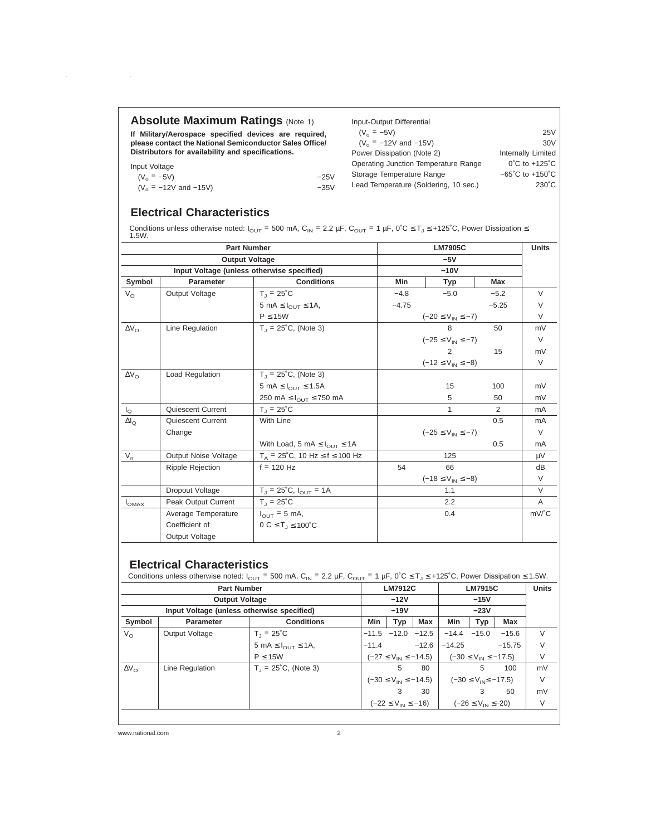### **Absolute Maximum Ratings (Note 1)**

**If Military/Aerospace specified devices are required, please contact the National Semiconductor Sales Office/ Distributors for availability and specifications.**

Input Voltage

 $\sim$ 

 $(V_o = -5V)$  -25V<br>  $(V_o = -12V \text{ and } -15V)$  -35V  $(V_o = -12V \text{ and } -15V)$ 

Input-Output Differential  $(V_o = -5V)$  25V<br>  $(V_o = -12V \text{ and } -15V)$  25V  $(V_o = -12V \text{ and } -15V)$  30V<br>ower Dissipation (Note 2) 11 Internally Limited Power Dissipation (Note 2) Operating Junction Temperature Range 0°C to +125°C Storage Temperature Range  $-65^{\circ}$ C to +150°C Lead Temperature (Soldering, 10 sec.) 230°C

## **Electrical Characteristics**

Conditions unless otherwise noted:  $I_{\text{OUT}}$  = 500 mA, C<sub>IN</sub> = 2.2 µF, C<sub>OUT</sub> = 1 µF, 0°C ≤ T<sub>J</sub> ≤ +125°C, Power Dissipation ≤<br>1.5W.

| <b>Part Number</b>                         |                         |                                                           |                                    | <b>LM7905C</b>            |            |                                  |  |  |  |
|--------------------------------------------|-------------------------|-----------------------------------------------------------|------------------------------------|---------------------------|------------|----------------------------------|--|--|--|
| <b>Output Voltage</b>                      |                         |                                                           |                                    | $-5V$                     |            |                                  |  |  |  |
| Input Voltage (unless otherwise specified) |                         |                                                           |                                    |                           |            |                                  |  |  |  |
| Symbol                                     | <b>Parameter</b>        | <b>Conditions</b>                                         | <b>Min</b>                         | Typ                       | <b>Max</b> |                                  |  |  |  |
| $V_{\Omega}$                               | Output Voltage          | $T_1 = 25^{\circ}C$                                       | $-5.0$<br>$-5.2$<br>$-4.8$         |                           |            | $\vee$                           |  |  |  |
|                                            |                         | 5 mA $\leq$ $I_{\text{OUT}} \leq 1$ A,                    | $-4.75$                            |                           | $-5.25$    | V                                |  |  |  |
|                                            |                         | $P \leq 15W$                                              | $(-20 \leq V_{\text{IN}} \leq -7)$ |                           |            | $\vee$                           |  |  |  |
| $\Delta V_{\Omega}$                        | Line Regulation         | $T_1 = 25^{\circ}C$ , (Note 3)                            |                                    | 8                         | 50         | mV                               |  |  |  |
|                                            |                         |                                                           |                                    | $(-25 \le V_{IN} \le -7)$ |            |                                  |  |  |  |
|                                            |                         |                                                           |                                    | $\mathcal{P}$             | 15         | mV                               |  |  |  |
|                                            |                         |                                                           | $(-12 \le V_{IN} \le -8)$          |                           |            | $\vee$                           |  |  |  |
| $\Delta V_{\Omega}$                        | Load Regulation         | $T_1 = 25^{\circ}C$ , (Note 3)                            |                                    |                           |            |                                  |  |  |  |
|                                            |                         | 5 mA $\leq$ $I_{\text{OUT}} \leq$ 1.5A                    |                                    | 15                        | 100        | mV                               |  |  |  |
|                                            |                         | 250 mA $\leq$ $I_{\text{OUT}} \leq$ 750 mA                |                                    | 5                         | 50         | mV                               |  |  |  |
| $I_{\Omega}$                               | Quiescent Current       | $T_1 = 25^{\circ}C$                                       |                                    | 1                         | 2          | mA                               |  |  |  |
| $\Delta I_{\Omega}$                        | Quiescent Current       | With Line                                                 |                                    |                           | 0.5        | mA                               |  |  |  |
|                                            | Change                  |                                                           | $(-25 \le V_{IN} \le -7)$          |                           |            | $\vee$                           |  |  |  |
|                                            |                         | With Load, 5 mA $\leq$ $I_{\text{OUT}} \leq 1$ A          |                                    |                           | 0.5        | mA                               |  |  |  |
| $V_{n}$                                    | Output Noise Voltage    | $T_A = 25^{\circ}$ C, 10 Hz $\leq f \leq 100$ Hz          |                                    | 125                       |            | μV                               |  |  |  |
|                                            | <b>Ripple Rejection</b> | $f = 120$ Hz                                              | 54                                 | 66                        |            | dB                               |  |  |  |
|                                            |                         |                                                           |                                    | $(-18 \le V_{IN} \le -8)$ |            | V                                |  |  |  |
|                                            | Dropout Voltage         | $T_{J}$ = 25°C, $I_{OUT}$ = 1A                            |                                    | 1.1                       |            | $\vee$                           |  |  |  |
| $I_{OMAX}$                                 | Peak Output Current     | $T_1 = 25^{\circ}C$                                       |                                    | 2.2                       |            | A                                |  |  |  |
|                                            | Average Temperature     | $I_{\text{OUT}} = 5 \text{ mA}$ ,                         |                                    | 0.4                       |            | $mV$ <sup><math>c</math></sup> C |  |  |  |
|                                            | Coefficient of          | $0 \text{ C} \leq T_{\text{J}} \leq 100^{\circ} \text{C}$ |                                    |                           |            |                                  |  |  |  |
|                                            | Output Voltage          |                                                           |                                    |                           |            |                                  |  |  |  |

## **Electrical Characteristics**

Conditions unless otherwise noted:  $I_{\text{OUT}} = 500 \text{ mA}$ ,  $C_{\text{IN}} = 2.2 \text{ }\mu\text{F}$ ,  $C_{\text{OUT}} = 1 \text{ }\mu\text{F}$ ,  $0\degree C \leq T_J \leq +125\degree C$ , Power Dissipation  $\leq 1.5 \text{ W}$ .

| <b>Part Number</b>                         |                 |                                        |         | <b>LM7912C</b>                      |                         |                                                                         | <b>LM7915C</b>               |          |    |
|--------------------------------------------|-----------------|----------------------------------------|---------|-------------------------------------|-------------------------|-------------------------------------------------------------------------|------------------------------|----------|----|
| <b>Output Voltage</b>                      |                 |                                        |         | $-12V$                              |                         |                                                                         | $-15V$                       |          |    |
| Input Voltage (unless otherwise specified) |                 |                                        |         | $-19V$                              |                         |                                                                         | $-23V$                       |          |    |
| Symbol                                     | Parameter       | <b>Conditions</b>                      | Min     | Typ                                 | Max                     | <b>Min</b>                                                              | Typ                          | Max      |    |
| $V_{\Omega}$                               | Output Voltage  | $T_1 = 25^{\circ}C$                    |         |                                     | $-11.5$ $-12.0$ $-12.5$ | $-14.4 -15.0$                                                           |                              | $-15.6$  | V  |
|                                            |                 | 5 mA $\leq$ $I_{\text{OUT}} \leq 1$ A, | $-11.4$ |                                     | $-12.6$                 | $-14.25$                                                                |                              | $-15.75$ | V  |
|                                            |                 | P < 15W                                |         |                                     |                         | $(-27 \le V_{\text{IN}} \le -14.5)$ $(-30 \le V_{\text{IN}} \le -17.5)$ |                              |          | V  |
| $\Delta V_{\Omega}$                        | Line Regulation | $T_1 = 25^{\circ}C$ , (Note 3)         |         | 5                                   | 80                      |                                                                         | 5                            | 100      | mV |
|                                            |                 |                                        |         | $(-30 \le V_{\text{IN}} \le -14.5)$ |                         |                                                                         | $(-30 \le V_{IN} \le -17.5)$ |          | V  |
|                                            |                 |                                        |         | 3                                   | 30                      |                                                                         | 3                            | 50       | mV |
|                                            |                 |                                        |         | $(-22 \le V_{IN} \le -16)$          |                         |                                                                         | $(-26 \le V_{IN} \le -20)$   |          | V  |
|                                            |                 |                                        |         |                                     |                         |                                                                         |                              |          |    |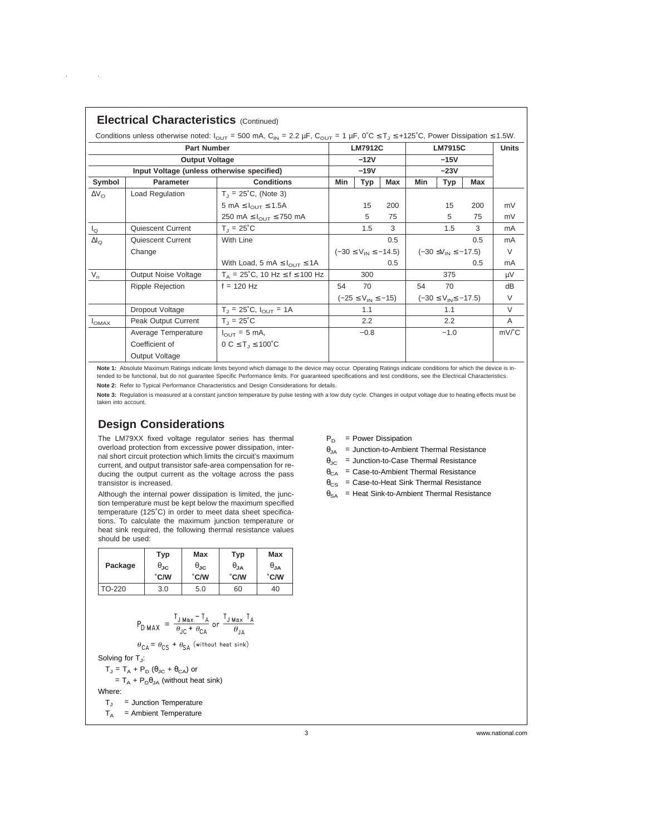| <b>Electrical Characteristics (Continued)</b>                                                                                                                                 |                         |                                                  |                              |                |                              |        |                |                                |        |
|-------------------------------------------------------------------------------------------------------------------------------------------------------------------------------|-------------------------|--------------------------------------------------|------------------------------|----------------|------------------------------|--------|----------------|--------------------------------|--------|
| Conditions unless otherwise noted: $I_{\text{OUT}}$ = 500 mA, C <sub>IN</sub> = 2.2 µF, C <sub>OUT</sub> = 1 µF, 0°C $\leq T$ , $\leq$ +125°C, Power Dissipation $\leq$ 1.5W. |                         |                                                  |                              |                |                              |        |                |                                |        |
| <b>Part Number</b>                                                                                                                                                            |                         |                                                  |                              | <b>LM7912C</b> |                              |        | <b>LM7915C</b> |                                |        |
| <b>Output Voltage</b>                                                                                                                                                         |                         |                                                  | $-12V$                       |                |                              | $-15V$ |                |                                |        |
| Input Voltage (unless otherwise specified)                                                                                                                                    |                         |                                                  | $-19V$                       |                |                              | $-23V$ |                |                                |        |
| Symbol                                                                                                                                                                        | Parameter               | <b>Conditions</b>                                | Min                          | <b>Typ</b>     | Max                          | Min    | Typ            | Max                            |        |
| $\Delta V_{\Omega}$                                                                                                                                                           | Load Regulation         | $T_1 = 25^{\circ}C$ , (Note 3)                   |                              |                |                              |        |                |                                |        |
|                                                                                                                                                                               |                         | 5 mA $\leq$ $I_{\text{OUT}} \leq$ 1.5A           |                              | 15             | 200                          |        | 15             | 200                            | mV     |
|                                                                                                                                                                               |                         | 250 mA $\leq$ $I_{\text{OUT}}$ $\leq$ 750 mA     |                              | 5              | 75                           |        | 5              | 75                             | mV     |
| $\mathsf{I}_{\Omega}$                                                                                                                                                         | Quiescent Current       | $T_{\rm d}$ = 25°C                               |                              | 1.5            | 3                            |        | 1.5            | 3                              | mA     |
| $\Delta I_{\Omega}$                                                                                                                                                           | Quiescent Current       | With Line                                        |                              |                | $0.5^{\circ}$                |        |                | 0.5                            | mA     |
|                                                                                                                                                                               | Change                  |                                                  | $(-30 \le V_{IN} \le -14.5)$ |                | $(-30 \le V_{IN} \le -17.5)$ |        |                | V                              |        |
|                                                                                                                                                                               |                         | With Load, 5 mA $\leq$ $I_{\text{OUT}} \leq 1$ A | 0.5                          |                |                              |        | 0.5            | mA                             |        |
| $V_{n}$                                                                                                                                                                       | Output Noise Voltage    | $T_A = 25^{\circ}$ C, 10 Hz $\leq f \leq 100$ Hz |                              | 300            |                              |        | 375            |                                | μV     |
|                                                                                                                                                                               | <b>Ripple Rejection</b> | $f = 120$ Hz                                     | 54                           | 70             |                              | 54     | 70             |                                | dB     |
|                                                                                                                                                                               |                         |                                                  | $(-25 \le V_{IN} \le -15)$   |                | $(-30 \le V_{IN} \le -17.5)$ |        | V              |                                |        |
|                                                                                                                                                                               | Dropout Voltage         | $T_{\rm J}$ = 25°C, $I_{\rm OUT}$ = 1A           |                              | 1.1            |                              |        | 1.1            |                                | $\vee$ |
| $I_{OMAX}$                                                                                                                                                                    | Peak Output Current     | $T_1 = 25^{\circ}C$                              |                              | $2.2^{\circ}$  |                              |        | 2.2            |                                | A      |
|                                                                                                                                                                               | Average Temperature     | $I_{\text{OUT}}$ = 5 mA,                         | $-0.8$                       |                | $-1.0$                       |        |                | $mV$ <sup><math>c</math></sup> |        |
|                                                                                                                                                                               | Coefficient of          | $0 C \le T_1 \le 100^{\circ}C$                   |                              |                |                              |        |                |                                |        |
|                                                                                                                                                                               | Output Voltage          |                                                  |                              |                |                              |        |                |                                |        |

Note 1: Absolute Maximum Ratings indicate limits beyond which damage to the device may occur. Operating Ratings indicate conditions for which the device is intended to be functional, but do not guarantee Specific Performance limits. For guaranteed specifications and test conditions, see the Electrical Characteristics.

**Note 2:** Refer to Typical Performance Characteristics and Design Considerations for details.

Note 3: Regulation is measured at a constant junction temperature by pulse testing with a low duty cycle. Changes in output voltage due to heating effects must be taken into account.

## **Design Considerations**

 $\sim$   $\alpha$ 

The LM79XX fixed voltage regulator series has thermal overload protection from excessive power dissipation, internal short circuit protection which limits the circuit's maximum current, and output transistor safe-area compensation for reducing the output current as the voltage across the pass transistor is increased.

Although the internal power dissipation is limited, the junction temperature must be kept below the maximum specified temperature (125˚C) in order to meet data sheet specifications. To calculate the maximum junction temperature or heat sink required, the following thermal resistance values should be used:

|         | Typ                    | <b>Max</b>           | Typ         | Max           |  |
|---------|------------------------|----------------------|-------------|---------------|--|
| Package | $\theta_{\mathsf{JC}}$ | $\theta_{\text{JC}}$ | $\theta$ JA | $\theta_{JA}$ |  |
|         | $\degree$ C/W          | <b>C/W</b>           | <b>C/W</b>  | °C/W          |  |
| TO-220  | 3.0                    | 5.0                  | 60          | 40            |  |

$$
P_{\text{D MAX}} = \frac{T_{\text{J Max}} - T_{\text{A}}}{\theta_{\text{JC}} + \theta_{\text{CA}}} \text{ or } \frac{T_{\text{J Max}} T_{\text{A}}}{\theta_{\text{JA}}}
$$

$$
\theta_{\mathsf{CA}} = \theta_{\mathsf{CS}} + \theta_{\mathsf{SA}} \text{ (without heat sink)}
$$

Solving for  $T_{\rm J}$ :

 $T_J = T_A + P_D (\theta_{JC} + \theta_{CA})$  or

=  $T_A$  +  $P_D \theta_{JA}$  (without heat sink)

Where:

 $T_J$  = Junction Temperature

 $T_A$  = Ambient Temperature

 $P_D$  = Power Dissipation

- $\theta_{JA}$  = Junction-to-Ambient Thermal Resistance
- $\theta_{\text{JC}}$  = Junction-to-Case Thermal Resistance
- $\theta_{CA}$  = Case-to-Ambient Thermal Resistance
- $\theta_{\text{CS}}$  = Case-to-Heat Sink Thermal Resistance
- $\theta_{SA}$  = Heat Sink-to-Ambient Thermal Resistance

3 www.national.com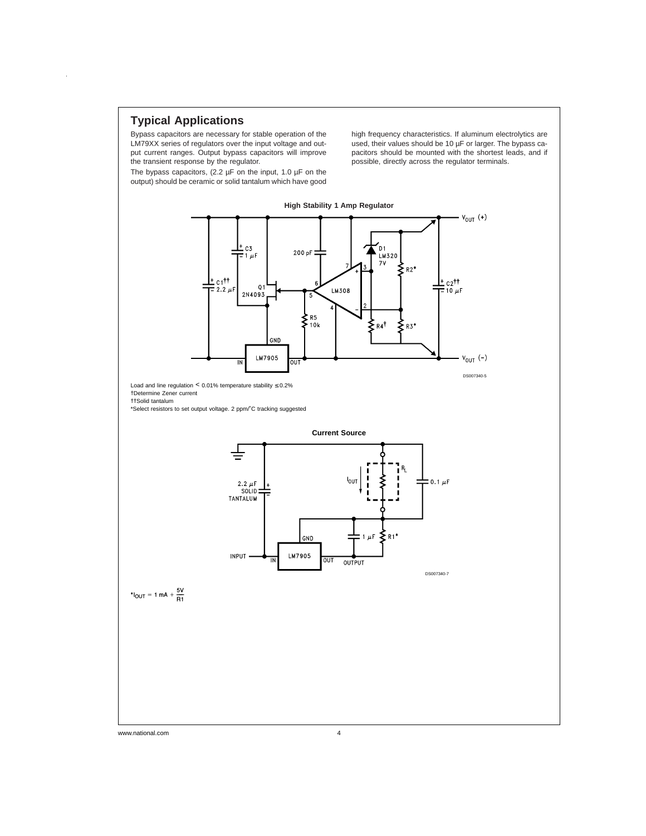## **Typical Applications**

 $\hat{\boldsymbol{\beta}}$ 

Bypass capacitors are necessary for stable operation of the LM79XX series of regulators over the input voltage and output current ranges. Output bypass capacitors will improve the transient response by the regulator.

The bypass capacitors, (2.2  $\mu$ F on the input, 1.0  $\mu$ F on the output) should be ceramic or solid tantalum which have good high frequency characteristics. If aluminum electrolytics are used, their values should be 10 µF or larger. The bypass capacitors should be mounted with the shortest leads, and if possible, directly across the regulator terminals.

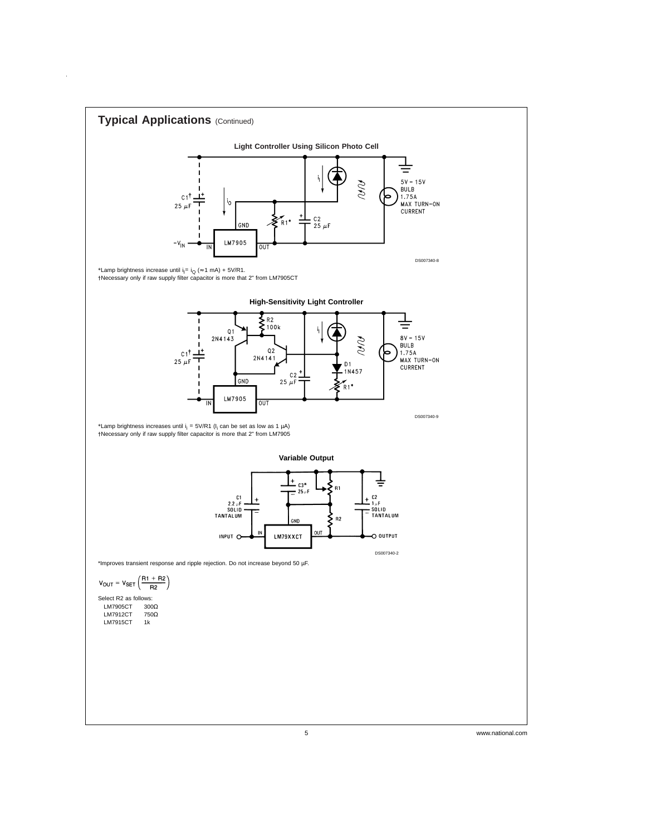

 $\hat{\mathcal{A}}$ 

5 www.national.com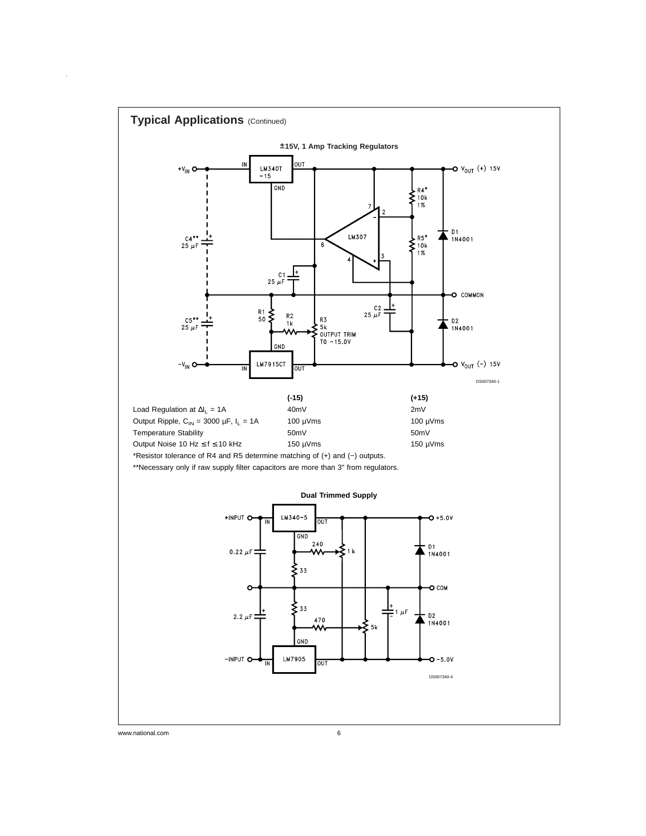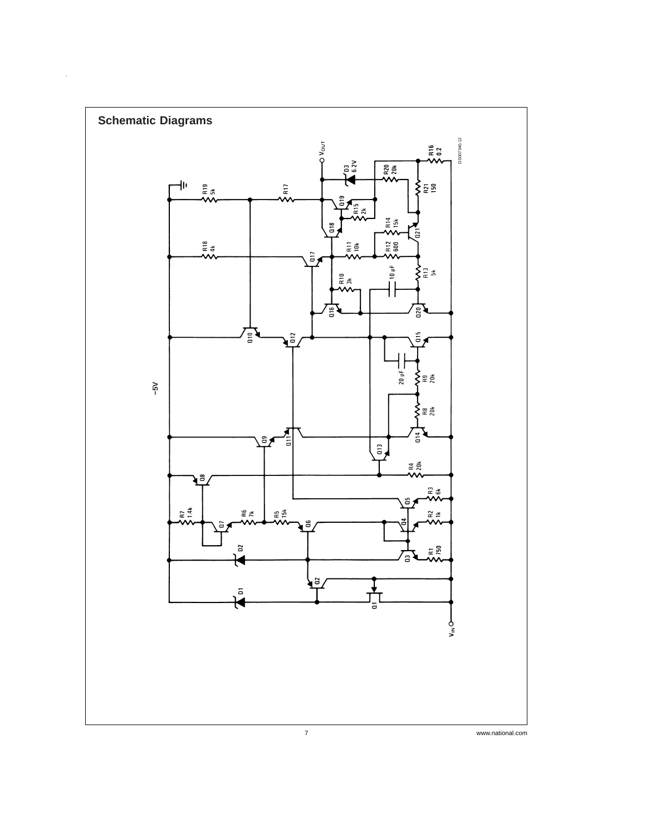

 $\hat{\mathcal{E}}$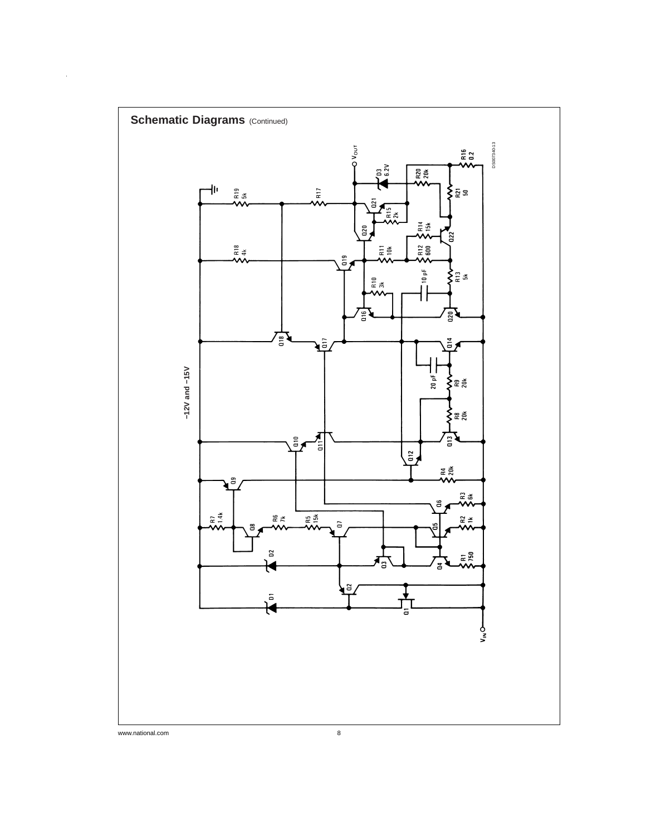

 $\hat{\boldsymbol{\beta}}$